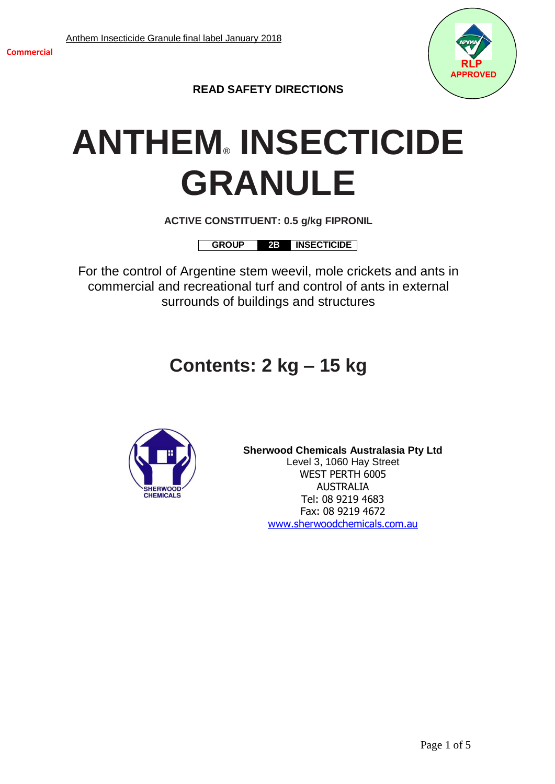

**READ SAFETY DIRECTIONS**

# **ANTHEM**® **INSECTICIDE GRANULE**

**ACTIVE CONSTITUENT: 0.5 g/kg FIPRONIL**

**GROUP 2B INSECTICIDE**

For the control of Argentine stem weevil, mole crickets and ants in commercial and recreational turf and control of ants in external surrounds of buildings and structures

# **Contents: 2 kg – 15 kg**



**Sherwood Chemicals Australasia Pty Ltd** Level 3, 1060 Hay Street WEST PERTH 6005 AUSTRALIA Tel: 08 9219 4683 Fax: 08 9219 4672 [www.sherwoodchemicals.com.au](http://www.sherwoodchemicals.com.au/)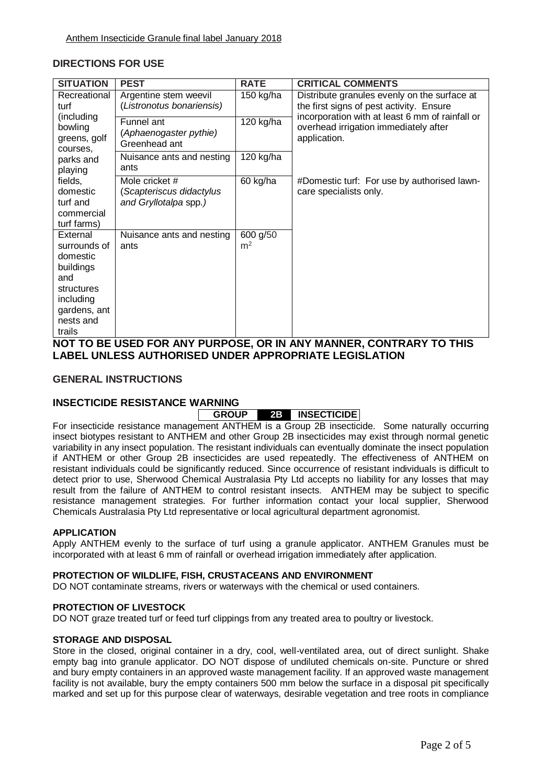## **DIRECTIONS FOR USE**

| <b>SITUATION</b>                                                                                                                                                   | <b>PEST</b>                                                         | <b>RATE</b>                | <b>CRITICAL COMMENTS</b>                                                                                                                                                                             |
|--------------------------------------------------------------------------------------------------------------------------------------------------------------------|---------------------------------------------------------------------|----------------------------|------------------------------------------------------------------------------------------------------------------------------------------------------------------------------------------------------|
| Recreational<br>turf<br>(including)<br>bowling<br>greens, golf<br>courses,<br>parks and<br>playing<br>fields,<br>domestic<br>turf and<br>commercial<br>turf farms) | Argentine stem weevil<br>(Listronotus bonariensis)                  | 150 kg/ha                  | Distribute granules evenly on the surface at<br>the first signs of pest activity. Ensure<br>incorporation with at least 6 mm of rainfall or<br>overhead irrigation immediately after<br>application. |
|                                                                                                                                                                    | Funnel ant<br>(Aphaenogaster pythie)<br>Greenhead ant               | $120$ kg/ha                |                                                                                                                                                                                                      |
|                                                                                                                                                                    | Nuisance ants and nesting<br>ants                                   | 120 kg/ha                  |                                                                                                                                                                                                      |
|                                                                                                                                                                    | Mole cricket #<br>(Scapteriscus didactylus<br>and Gryllotalpa spp.) | 60 kg/ha                   | #Domestic turf: For use by authorised lawn-<br>care specialists only.                                                                                                                                |
| External<br>surrounds of<br>domestic<br>buildings<br>and<br>structures<br>including<br>gardens, ant<br>nests and<br>trails                                         | Nuisance ants and nesting<br>ants                                   | 600 g/50<br>m <sup>2</sup> |                                                                                                                                                                                                      |

**NOT TO BE USED FOR ANY PURPOSE, OR IN ANY MANNER, CONTRARY TO THIS LABEL UNLESS AUTHORISED UNDER APPROPRIATE LEGISLATION**

## **GENERAL INSTRUCTIONS**

#### **INSECTICIDE RESISTANCE WARNING**

# **GROUP 2B INSECTICIDE**

For insecticide resistance management ANTHEM is a Group 2B insecticide. Some naturally occurring insect biotypes resistant to ANTHEM and other Group 2B insecticides may exist through normal genetic variability in any insect population. The resistant individuals can eventually dominate the insect population if ANTHEM or other Group 2B insecticides are used repeatedly. The effectiveness of ANTHEM on resistant individuals could be significantly reduced. Since occurrence of resistant individuals is difficult to detect prior to use, Sherwood Chemical Australasia Pty Ltd accepts no liability for any losses that may result from the failure of ANTHEM to control resistant insects. ANTHEM may be subject to specific resistance management strategies. For further information contact your local supplier, Sherwood Chemicals Australasia Pty Ltd representative or local agricultural department agronomist.

#### **APPLICATION**

Apply ANTHEM evenly to the surface of turf using a granule applicator. ANTHEM Granules must be incorporated with at least 6 mm of rainfall or overhead irrigation immediately after application.

#### **PROTECTION OF WILDLIFE, FISH, CRUSTACEANS AND ENVIRONMENT**

DO NOT contaminate streams, rivers or waterways with the chemical or used containers.

#### **PROTECTION OF LIVESTOCK**

DO NOT graze treated turf or feed turf clippings from any treated area to poultry or livestock.

#### **STORAGE AND DISPOSAL**

Store in the closed, original container in a dry, cool, well-ventilated area, out of direct sunlight. Shake empty bag into granule applicator. DO NOT dispose of undiluted chemicals on-site. Puncture or shred and bury empty containers in an approved waste management facility. If an approved waste management facility is not available, bury the empty containers 500 mm below the surface in a disposal pit specifically marked and set up for this purpose clear of waterways, desirable vegetation and tree roots in compliance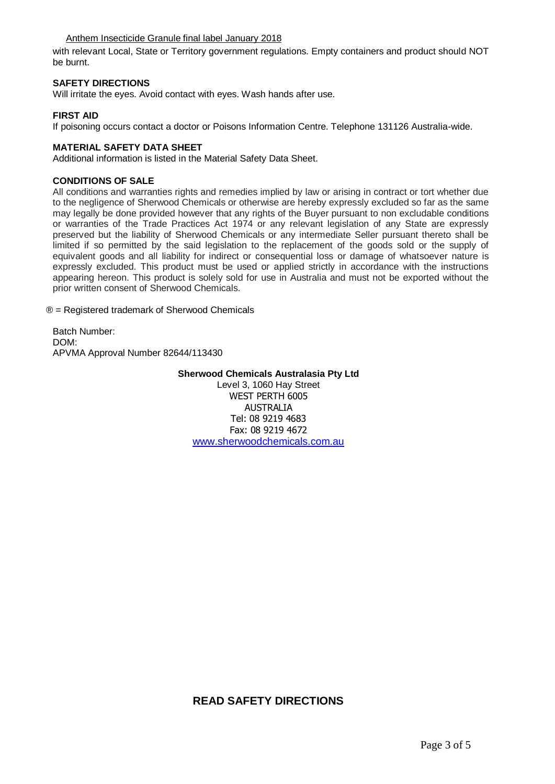#### Anthem Insecticide Granule final label January 2018

with relevant Local, State or Territory government regulations. Empty containers and product should NOT be burnt.

#### **SAFETY DIRECTIONS**

Will irritate the eyes. Avoid contact with eyes. Wash hands after use.

#### **FIRST AID**

If poisoning occurs contact a doctor or Poisons Information Centre. Telephone 131126 Australia-wide.

#### **MATERIAL SAFETY DATA SHEET**

Additional information is listed in the Material Safety Data Sheet.

#### **CONDITIONS OF SALE**

All conditions and warranties rights and remedies implied by law or arising in contract or tort whether due to the negligence of Sherwood Chemicals or otherwise are hereby expressly excluded so far as the same may legally be done provided however that any rights of the Buyer pursuant to non excludable conditions or warranties of the Trade Practices Act 1974 or any relevant legislation of any State are expressly preserved but the liability of Sherwood Chemicals or any intermediate Seller pursuant thereto shall be limited if so permitted by the said legislation to the replacement of the goods sold or the supply of equivalent goods and all liability for indirect or consequential loss or damage of whatsoever nature is expressly excluded. This product must be used or applied strictly in accordance with the instructions appearing hereon. This product is solely sold for use in Australia and must not be exported without the prior written consent of Sherwood Chemicals.

® = Registered trademark of Sherwood Chemicals

Batch Number: DOM: APVMA Approval Number 82644/113430

**Sherwood Chemicals Australasia Pty Ltd**

Level 3, 1060 Hay Street WEST PERTH 6005 AUSTRALIA Tel: 08 9219 4683 Fax: 08 9219 4672 [www.sherwoodchemicals.com.au](http://www.sherwoodchemicals.com.au/)

# **READ SAFETY DIRECTIONS**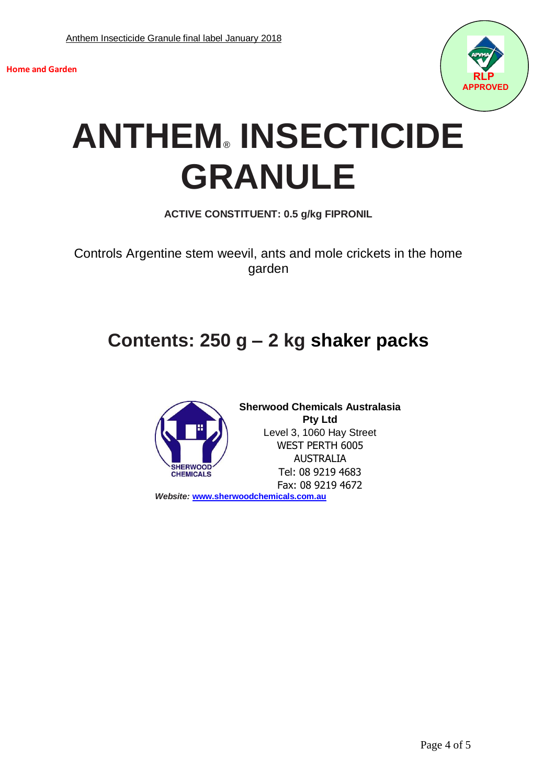



# **ANTHEM**® **INSECTICIDE GRANULE**

**ACTIVE CONSTITUENT: 0.5 g/kg FIPRONIL**

Controls Argentine stem weevil, ants and mole crickets in the home garden

# **Contents: 250 g – 2 kg shaker packs**



**Sherwood Chemicals Australasia Pty Ltd** Level 3, 1060 Hay Street WEST PERTH 6005 AUSTRALIA Tel: 08 9219 4683 Fax: 08 9219 4672

*Website:* **[www.sherwoodchemicals.com.au](http://www.sherwoodchemicals.com.au/)**